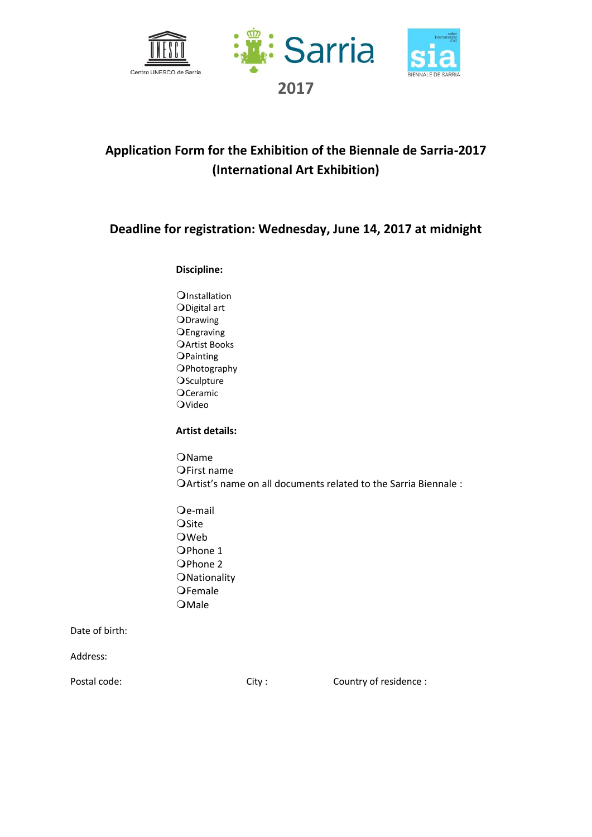

## **Application Form for the Exhibition of the Biennale de Sarria-2017 (International Art Exhibition)**

### **Deadline for registration: Wednesday, June 14, 2017 at midnight**

#### **Discipline:**

**O**Installation Digital art **ODrawing OEngraving OArtist Books OPainting OPhotography** OSculpture **O**Ceramic OVideo

#### **Artist details:**

**OName** OFirst name Artist's name on all documents related to the Sarria Biennale :

Oe-mail OSite **OWeb** OPhone 1 OPhone 2 **ONationality** OFemale OMale

Date of birth:

Address: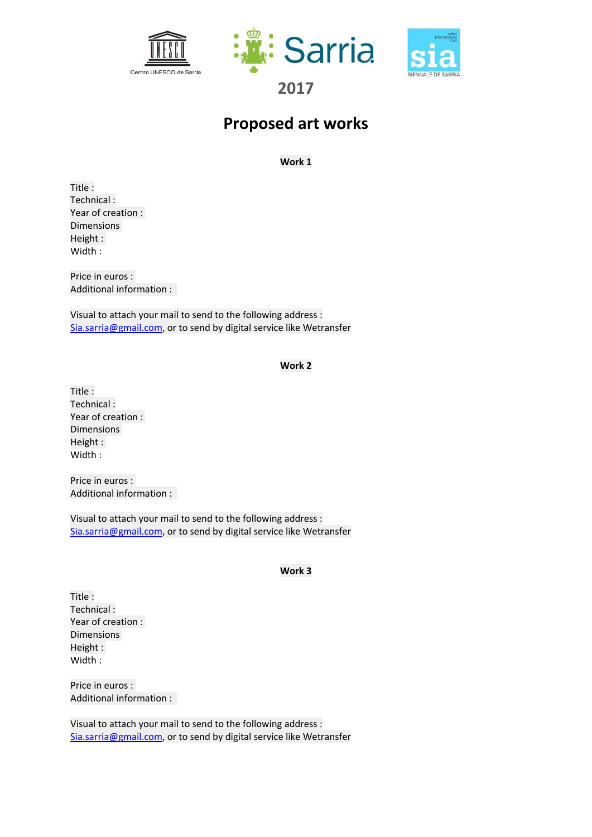





# **2017**

# **Proposed art works**

#### **Work 1**

Title : Technical : Year of creation : **Dimensions** Height : Width :

Price in euros : Additional information :

Visual to attach your mail to send to the following address : [Sia.sarria@gmail.com,](mailto:Sia.sarria@gmail.com) or to send by digital service like Wetransfer

#### **Work 2**

Title : Technical : Year of creation : **Dimensions** Height : Width :

Price in euros : Additional information :

Visual to attach your mail to send to the following address : [Sia.sarria@gmail.com,](mailto:Sia.sarria@gmail.com) or to send by digital service like Wetransfer

#### **Work 3**

Title : Technical : Year of creation : **Dimensions** Height : Width :

Price in euros : Additional information :

Visual to attach your mail to send to the following address : [Sia.sarria@gmail.com,](mailto:Sia.sarria@gmail.com) or to send by digital service like Wetransfer